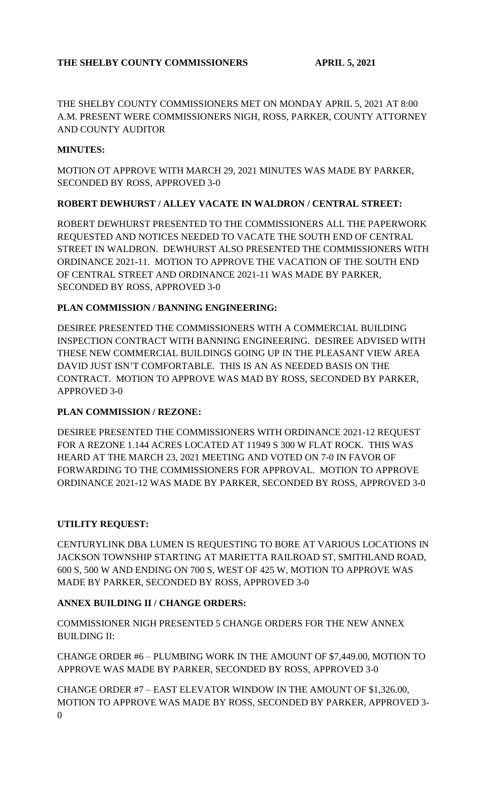THE SHELBY COUNTY COMMISSIONERS MET ON MONDAY APRIL 5, 2021 AT 8:00 A.M. PRESENT WERE COMMISSIONERS NIGH, ROSS, PARKER, COUNTY ATTORNEY AND COUNTY AUDITOR

## **MINUTES:**

MOTION OT APPROVE WITH MARCH 29, 2021 MINUTES WAS MADE BY PARKER, SECONDED BY ROSS, APPROVED 3-0

## **ROBERT DEWHURST / ALLEY VACATE IN WALDRON / CENTRAL STREET:**

ROBERT DEWHURST PRESENTED TO THE COMMISSIONERS ALL THE PAPERWORK REQUESTED AND NOTICES NEEDED TO VACATE THE SOUTH END OF CENTRAL STREET IN WALDRON. DEWHURST ALSO PRESENTED THE COMMISSIONERS WITH ORDINANCE 2021-11. MOTION TO APPROVE THE VACATION OF THE SOUTH END OF CENTRAL STREET AND ORDINANCE 2021-11 WAS MADE BY PARKER, SECONDED BY ROSS, APPROVED 3-0

# **PLAN COMMISSION / BANNING ENGINEERING:**

DESIREE PRESENTED THE COMMISSIONERS WITH A COMMERCIAL BUILDING INSPECTION CONTRACT WITH BANNING ENGINEERING. DESIREE ADVISED WITH THESE NEW COMMERCIAL BUILDINGS GOING UP IN THE PLEASANT VIEW AREA DAVID JUST ISN'T COMFORTABLE. THIS IS AN AS NEEDED BASIS ON THE CONTRACT. MOTION TO APPROVE WAS MAD BY ROSS, SECONDED BY PARKER, APPROVED 3-0

# **PLAN COMMISSION / REZONE:**

DESIREE PRESENTED THE COMMISSIONERS WITH ORDINANCE 2021-12 REQUEST FOR A REZONE 1.144 ACRES LOCATED AT 11949 S 300 W FLAT ROCK. THIS WAS HEARD AT THE MARCH 23, 2021 MEETING AND VOTED ON 7-0 IN FAVOR OF FORWARDING TO THE COMMISSIONERS FOR APPROVAL. MOTION TO APPROVE ORDINANCE 2021-12 WAS MADE BY PARKER, SECONDED BY ROSS, APPROVED 3-0

### **UTILITY REQUEST:**

CENTURYLINK DBA LUMEN IS REQUESTING TO BORE AT VARIOUS LOCATIONS IN JACKSON TOWNSHIP STARTING AT MARIETTA RAILROAD ST, SMITHLAND ROAD, 600 S, 500 W AND ENDING ON 700 S, WEST OF 425 W, MOTION TO APPROVE WAS MADE BY PARKER, SECONDED BY ROSS, APPROVED 3-0

### **ANNEX BUILDING II / CHANGE ORDERS:**

COMMISSIONER NIGH PRESENTED 5 CHANGE ORDERS FOR THE NEW ANNEX BUILDING II:

CHANGE ORDER #6 – PLUMBING WORK IN THE AMOUNT OF \$7,449.00, MOTION TO APPROVE WAS MADE BY PARKER, SECONDED BY ROSS, APPROVED 3-0

CHANGE ORDER #7 – EAST ELEVATOR WINDOW IN THE AMOUNT OF \$1,326.00, MOTION TO APPROVE WAS MADE BY ROSS, SECONDED BY PARKER, APPROVED 3-  $\Omega$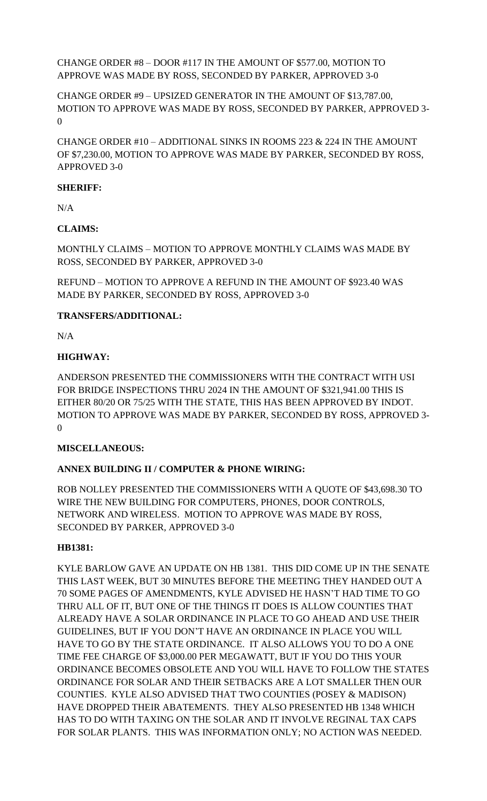# CHANGE ORDER #8 – DOOR #117 IN THE AMOUNT OF \$577.00, MOTION TO APPROVE WAS MADE BY ROSS, SECONDED BY PARKER, APPROVED 3-0

CHANGE ORDER #9 – UPSIZED GENERATOR IN THE AMOUNT OF \$13,787.00, MOTION TO APPROVE WAS MADE BY ROSS, SECONDED BY PARKER, APPROVED 3- 0

CHANGE ORDER #10 – ADDITIONAL SINKS IN ROOMS 223 & 224 IN THE AMOUNT OF \$7,230.00, MOTION TO APPROVE WAS MADE BY PARKER, SECONDED BY ROSS, APPROVED 3-0

## **SHERIFF:**

N/A

# **CLAIMS:**

MONTHLY CLAIMS – MOTION TO APPROVE MONTHLY CLAIMS WAS MADE BY ROSS, SECONDED BY PARKER, APPROVED 3-0

REFUND – MOTION TO APPROVE A REFUND IN THE AMOUNT OF \$923.40 WAS MADE BY PARKER, SECONDED BY ROSS, APPROVED 3-0

# **TRANSFERS/ADDITIONAL:**

 $N/A$ 

# **HIGHWAY:**

ANDERSON PRESENTED THE COMMISSIONERS WITH THE CONTRACT WITH USI FOR BRIDGE INSPECTIONS THRU 2024 IN THE AMOUNT OF \$321,941.00 THIS IS EITHER 80/20 OR 75/25 WITH THE STATE, THIS HAS BEEN APPROVED BY INDOT. MOTION TO APPROVE WAS MADE BY PARKER, SECONDED BY ROSS, APPROVED 3-  $\Omega$ 

### **MISCELLANEOUS:**

# **ANNEX BUILDING II / COMPUTER & PHONE WIRING:**

ROB NOLLEY PRESENTED THE COMMISSIONERS WITH A QUOTE OF \$43,698.30 TO WIRE THE NEW BUILDING FOR COMPUTERS, PHONES, DOOR CONTROLS, NETWORK AND WIRELESS. MOTION TO APPROVE WAS MADE BY ROSS, SECONDED BY PARKER, APPROVED 3-0

### **HB1381:**

KYLE BARLOW GAVE AN UPDATE ON HB 1381. THIS DID COME UP IN THE SENATE THIS LAST WEEK, BUT 30 MINUTES BEFORE THE MEETING THEY HANDED OUT A 70 SOME PAGES OF AMENDMENTS, KYLE ADVISED HE HASN'T HAD TIME TO GO THRU ALL OF IT, BUT ONE OF THE THINGS IT DOES IS ALLOW COUNTIES THAT ALREADY HAVE A SOLAR ORDINANCE IN PLACE TO GO AHEAD AND USE THEIR GUIDELINES, BUT IF YOU DON'T HAVE AN ORDINANCE IN PLACE YOU WILL HAVE TO GO BY THE STATE ORDINANCE. IT ALSO ALLOWS YOU TO DO A ONE TIME FEE CHARGE OF \$3,000.00 PER MEGAWATT, BUT IF YOU DO THIS YOUR ORDINANCE BECOMES OBSOLETE AND YOU WILL HAVE TO FOLLOW THE STATES ORDINANCE FOR SOLAR AND THEIR SETBACKS ARE A LOT SMALLER THEN OUR COUNTIES. KYLE ALSO ADVISED THAT TWO COUNTIES (POSEY & MADISON) HAVE DROPPED THEIR ABATEMENTS. THEY ALSO PRESENTED HB 1348 WHICH HAS TO DO WITH TAXING ON THE SOLAR AND IT INVOLVE REGINAL TAX CAPS FOR SOLAR PLANTS. THIS WAS INFORMATION ONLY; NO ACTION WAS NEEDED.